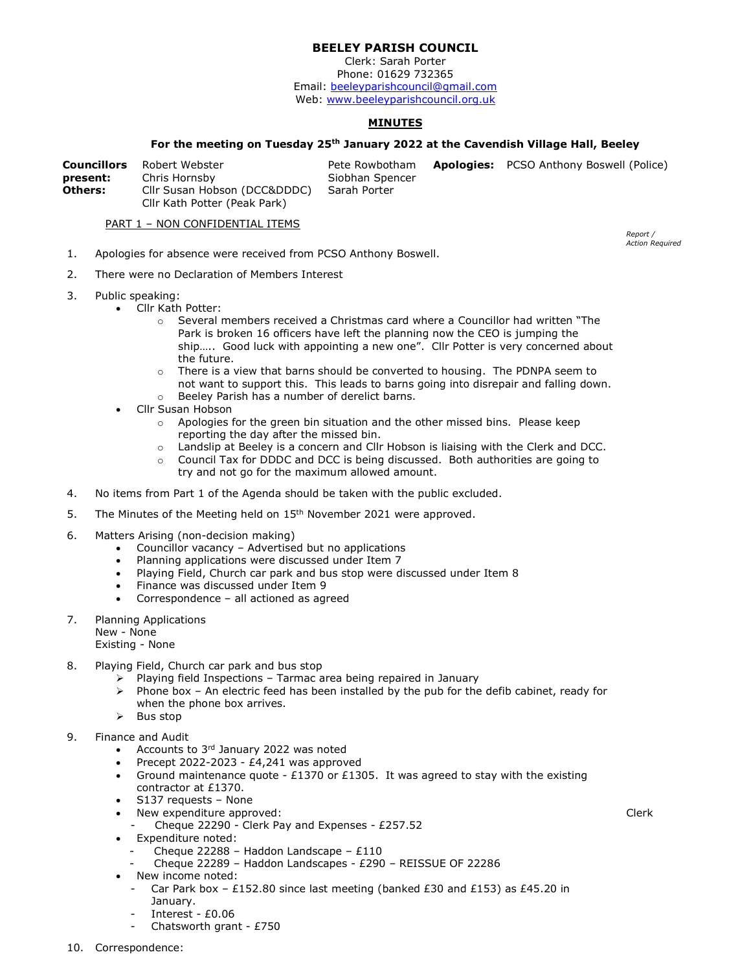## BEELEY PARISH COUNCIL

Clerk: Sarah Porter Phone: 01629 732365 Email: beeleyparishcouncil@gmail.com Web: www.beeleyparishcouncil.org.uk

## **MINUTES**

## For the meeting on Tuesday 25<sup>th</sup> January 2022 at the Cavendish Village Hall, Beeley

| <b>Councillors</b> | Robert Webster               | Pete Rowbotham  | <b>Apologies:</b> PCSO Anthony Boswell (Police) |
|--------------------|------------------------------|-----------------|-------------------------------------------------|
| present:           | Chris Hornsby                | Siobhan Spencer |                                                 |
| <b>Others:</b>     | Cllr Susan Hobson (DCC&DDDC) | Sarah Porter    |                                                 |
|                    | Cllr Kath Potter (Peak Park) |                 |                                                 |

PART 1 - NON CONFIDENTIAL ITEMS

- 1. Apologies for absence were received from PCSO Anthony Boswell.
- 2. There were no Declaration of Members Interest
- 3. Public speaking:
	- Cllr Kath Potter:
		- $\circ$  Several members received a Christmas card where a Councillor had written "The Park is broken 16 officers have left the planning now the CEO is jumping the ship….. Good luck with appointing a new one". Cllr Potter is very concerned about the future.
		- There is a view that barns should be converted to housing. The PDNPA seem to not want to support this. This leads to barns going into disrepair and falling down.
		- o Beeley Parish has a number of derelict barns.
	- Cllr Susan Hobson
		- $\circ$  Apologies for the green bin situation and the other missed bins. Please keep reporting the day after the missed bin.
		- o Landslip at Beeley is a concern and Cllr Hobson is liaising with the Clerk and DCC.
		- $\circ$  Council Tax for DDDC and DCC is being discussed. Both authorities are going to try and not go for the maximum allowed amount.
- 4. No items from Part 1 of the Agenda should be taken with the public excluded.
- 5. The Minutes of the Meeting held on 15<sup>th</sup> November 2021 were approved.
- 6. Matters Arising (non-decision making)
	- Councillor vacancy Advertised but no applications
	- Planning applications were discussed under Item 7
	- Playing Field, Church car park and bus stop were discussed under Item 8
	- Finance was discussed under Item 9
	- Correspondence all actioned as agreed
- 7. Planning Applications

New - None

- Existing None
- 8. Playing Field, Church car park and bus stop
	- $\triangleright$  Playing field Inspections Tarmac area being repaired in January
	- $\triangleright$  Phone box An electric feed has been installed by the pub for the defib cabinet, ready for when the phone box arrives.
	- $\triangleright$  Bus stop
- 9. Finance and Audit
	- Accounts to 3<sup>rd</sup> January 2022 was noted
	- Precept 2022-2023 £4,241 was approved
	- Ground maintenance quote £1370 or £1305. It was agreed to stay with the existing contractor at £1370.
	- S137 requests None
	- New expenditure approved:
		- Cheque 22290 Clerk Pay and Expenses £257.52
	- Expenditure noted:
		- Cheque 22288 Haddon Landscape  $£110$
		- Cheque 22289 Haddon Landscapes £290 REISSUE OF 22286
	- New income noted:
		- Car Park box £152.80 since last meeting (banked £30 and £153) as £45.20 in January.
		- Interest £0.06
		- Chatsworth grant £750

Report / Action Required

Clerk